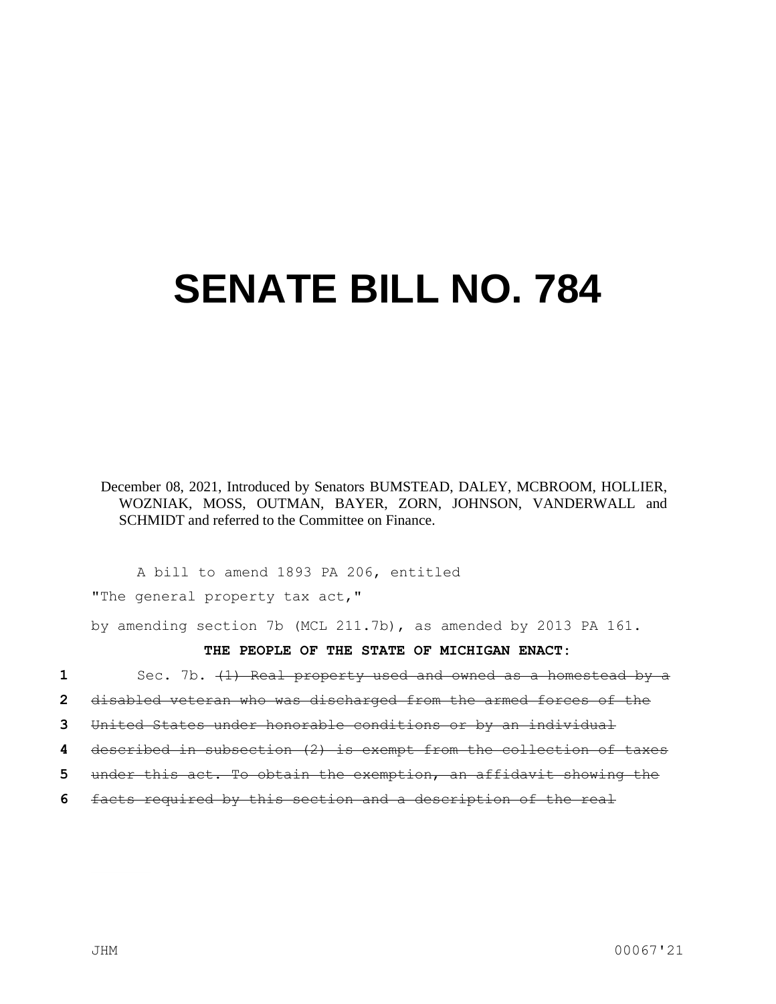## **SENATE BILL NO. 784**

December 08, 2021, Introduced by Senators BUMSTEAD, DALEY, MCBROOM, HOLLIER, WOZNIAK, MOSS, OUTMAN, BAYER, ZORN, JOHNSON, VANDERWALL and SCHMIDT and referred to the Committee on Finance.

A bill to amend 1893 PA 206, entitled

"The general property tax act,"

by amending section 7b (MCL 211.7b), as amended by 2013 PA 161.

**THE PEOPLE OF THE STATE OF MICHIGAN ENACT:**

**1** Sec. 7b. (1) Real property used and owned as a homestead by a

**2** disabled veteran who was discharged from the armed forces of the

**3** United States under honorable conditions or by an individual

**4** described in subsection (2) is exempt from the collection of taxes

- **5** under this act. To obtain the exemption, an affidavit showing the
- **6** facts required by this section and a description of the real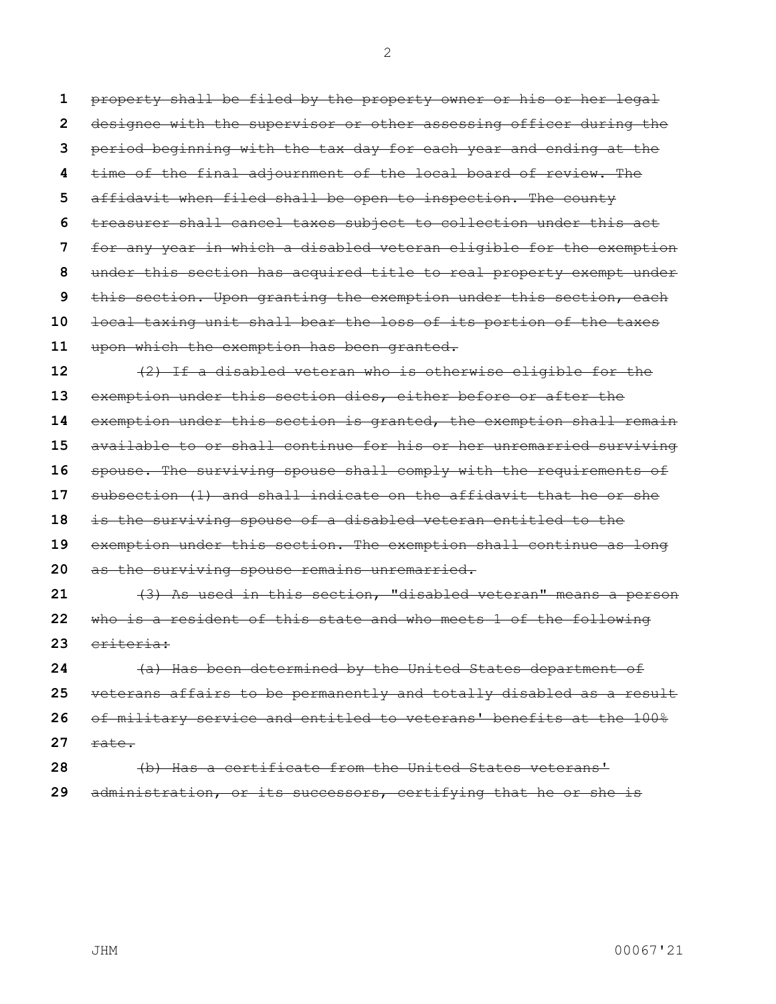property shall be filed by the property owner or his or her legal designee with the supervisor or other assessing officer during the period beginning with the tax day for each year and ending at the time of the final adjournment of the local board of review. The affidavit when filed shall be open to inspection. The county treasurer shall cancel taxes subject to collection under this act for any year in which a disabled veteran eligible for the exemption under this section has acquired title to real property exempt under this section. Upon granting the exemption under this section, each local taxing unit shall bear the loss of its portion of the taxes upon which the exemption has been granted. (2) If a disabled veteran who is otherwise eligible for the exemption under this section dies, either before or after the exemption under this section is granted, the exemption shall remain available to or shall continue for his or her unremarried surviving spouse. The surviving spouse shall comply with the requirements of subsection (1) and shall indicate on the affidavit that he or she is the surviving spouse of a disabled veteran entitled to the exemption under this section. The exemption shall continue as long as the surviving spouse remains unremarried. (3) As used in this section, "disabled veteran" means a person who is a resident of this state and who meets 1 of the following criteria: (a) Has been determined by the United States department of veterans affairs to be permanently and totally disabled as a result of military service and entitled to veterans' benefits at the 100%

- rate.
- (b) Has a certificate from the United States veterans' administration, or its successors, certifying that he or she is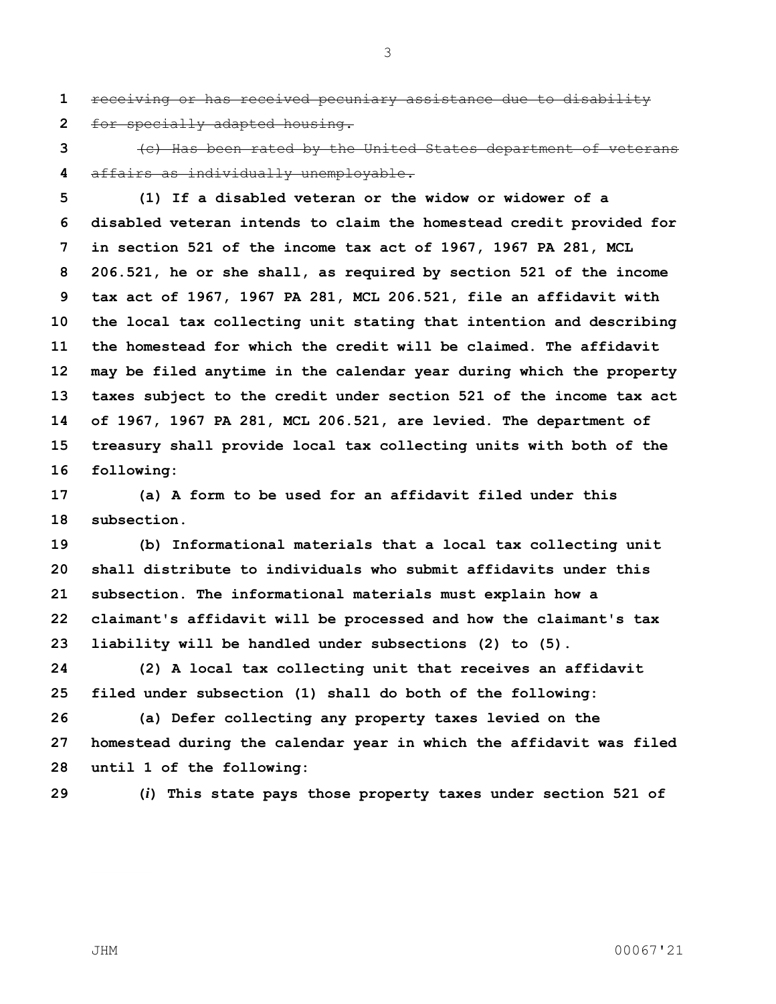receiving or has received pecuniary assistance due to disability for specially adapted housing.

 (c) Has been rated by the United States department of veterans affairs as individually unemployable.

 **(1) If a disabled veteran or the widow or widower of a disabled veteran intends to claim the homestead credit provided for in section 521 of the income tax act of 1967, 1967 PA 281, MCL 206.521, he or she shall, as required by section 521 of the income tax act of 1967, 1967 PA 281, MCL 206.521, file an affidavit with the local tax collecting unit stating that intention and describing the homestead for which the credit will be claimed. The affidavit may be filed anytime in the calendar year during which the property taxes subject to the credit under section 521 of the income tax act of 1967, 1967 PA 281, MCL 206.521, are levied. The department of treasury shall provide local tax collecting units with both of the following:**

 **(a) A form to be used for an affidavit filed under this subsection.**

 **(b) Informational materials that a local tax collecting unit shall distribute to individuals who submit affidavits under this subsection. The informational materials must explain how a claimant's affidavit will be processed and how the claimant's tax liability will be handled under subsections (2) to (5).**

 **(2) A local tax collecting unit that receives an affidavit filed under subsection (1) shall do both of the following:**

 **(a) Defer collecting any property taxes levied on the homestead during the calendar year in which the affidavit was filed until 1 of the following:**

**(***i***) This state pays those property taxes under section 521 of**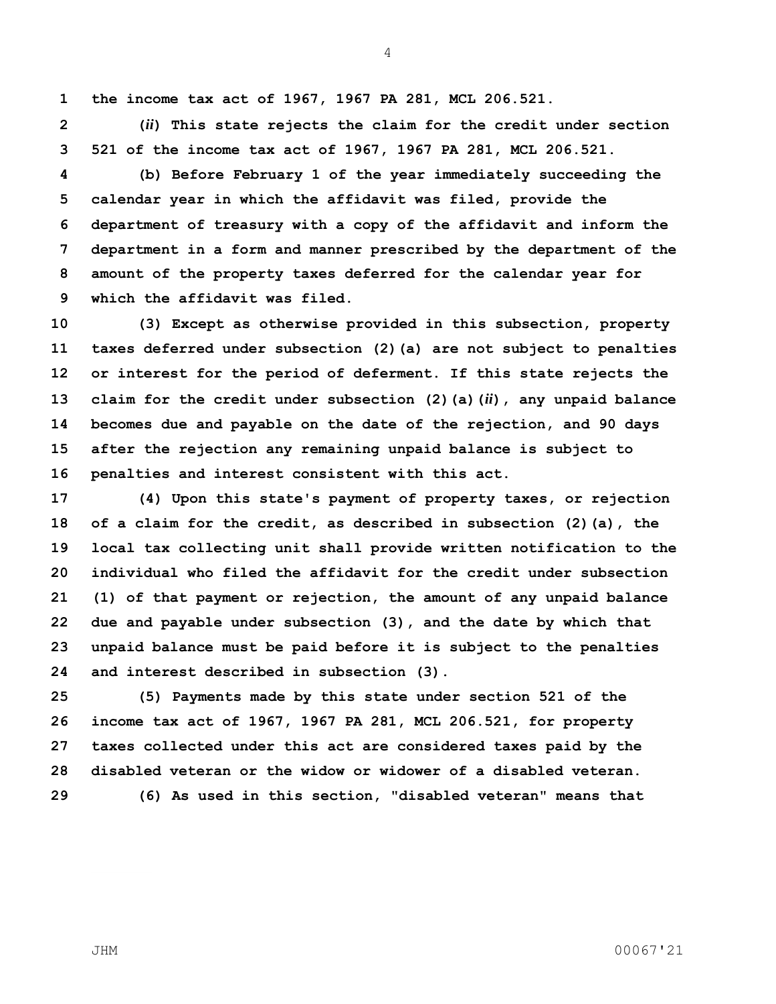**the income tax act of 1967, 1967 PA 281, MCL 206.521.**

 **(***ii***) This state rejects the claim for the credit under section 521 of the income tax act of 1967, 1967 PA 281, MCL 206.521.**

 **(b) Before February 1 of the year immediately succeeding the calendar year in which the affidavit was filed, provide the department of treasury with a copy of the affidavit and inform the department in a form and manner prescribed by the department of the amount of the property taxes deferred for the calendar year for which the affidavit was filed.**

 **(3) Except as otherwise provided in this subsection, property taxes deferred under subsection (2)(a) are not subject to penalties or interest for the period of deferment. If this state rejects the claim for the credit under subsection (2)(a)(***ii***), any unpaid balance becomes due and payable on the date of the rejection, and 90 days after the rejection any remaining unpaid balance is subject to penalties and interest consistent with this act.**

 **(4) Upon this state's payment of property taxes, or rejection of a claim for the credit, as described in subsection (2)(a), the local tax collecting unit shall provide written notification to the individual who filed the affidavit for the credit under subsection (1) of that payment or rejection, the amount of any unpaid balance due and payable under subsection (3), and the date by which that unpaid balance must be paid before it is subject to the penalties and interest described in subsection (3).**

 **(5) Payments made by this state under section 521 of the income tax act of 1967, 1967 PA 281, MCL 206.521, for property taxes collected under this act are considered taxes paid by the disabled veteran or the widow or widower of a disabled veteran. (6) As used in this section, "disabled veteran" means that**